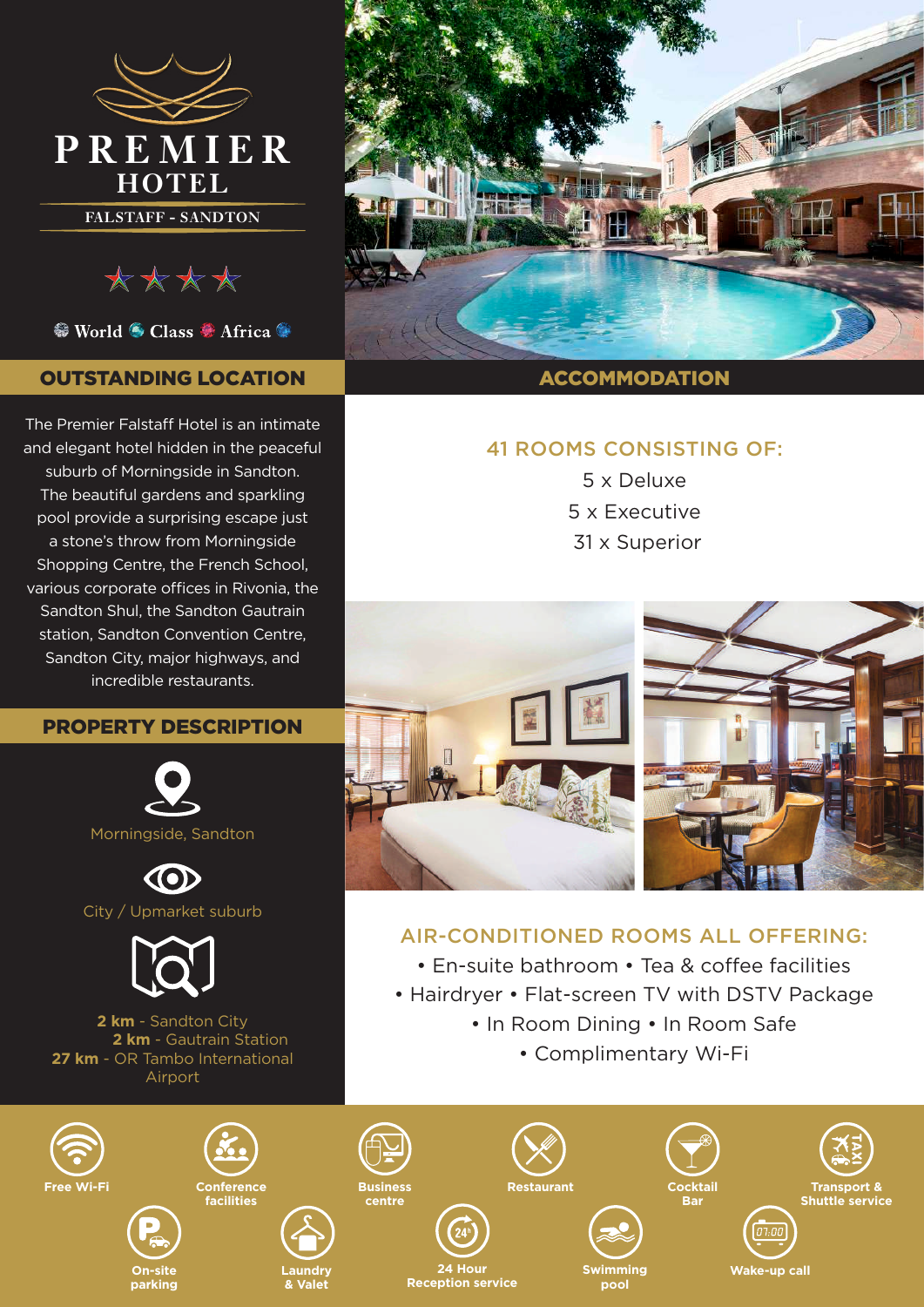

\*\*\*\*

<sup>●</sup> World ● Class ● Africa ●

## OUTSTANDING LOCATION

The Premier Falstaff Hotel is an intimate and elegant hotel hidden in the peaceful suburb of Morningside in Sandton. The beautiful gardens and sparkling pool provide a surprising escape just a stone's throw from Morningside Shopping Centre, the French School, various corporate offices in Rivonia, the Sandton Shul, the Sandton Gautrain station, Sandton Convention Centre, Sandton City, major highways, and incredible restaurants.

## PROPERTY DESCRIPTION



City / Upmarket suburb



**2 km** - Sandton City **2 km** - Gautrain Station **27 km** - OR Tambo International Airport



ACCOMMODATION

# 41 ROOMS CONSISTING OF:

5 x Deluxe 5 x Executive 31 x Superior



# AIR-CONDITIONED ROOMS ALL OFFERING:

- En-suite bathroom Tea & coffee facilities
- Hairdryer Flat-screen TV with DSTV Package
	- In Room Dining In Room Safe
		- Complimentary Wi-Fi

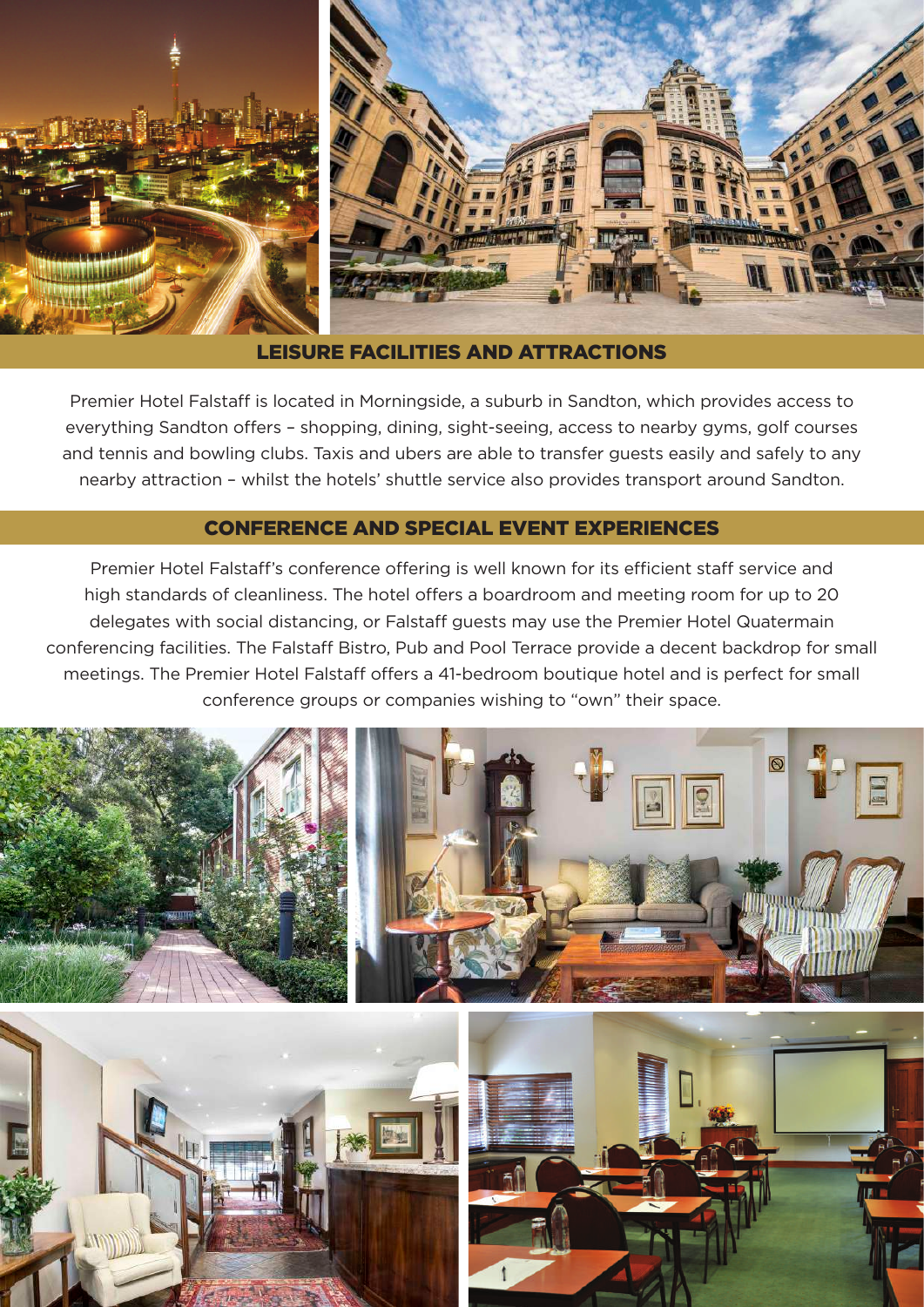

### LEISURE FACILITIES AND ATTRACTIONS

Premier Hotel Falstaff is located in Morningside, a suburb in Sandton, which provides access to everything Sandton offers – shopping, dining, sight-seeing, access to nearby gyms, golf courses and tennis and bowling clubs. Taxis and ubers are able to transfer guests easily and safely to any nearby attraction – whilst the hotels' shuttle service also provides transport around Sandton.

### CONFERENCE AND SPECIAL EVENT EXPERIENCES

Premier Hotel Falstaff's conference offering is well known for its efficient staff service and high standards of cleanliness. The hotel offers a boardroom and meeting room for up to 20 delegates with social distancing, or Falstaff guests may use the Premier Hotel Quatermain conferencing facilities. The Falstaff Bistro, Pub and Pool Terrace provide a decent backdrop for small meetings. The Premier Hotel Falstaff offers a 41-bedroom boutique hotel and is perfect for small conference groups or companies wishing to "own" their space.